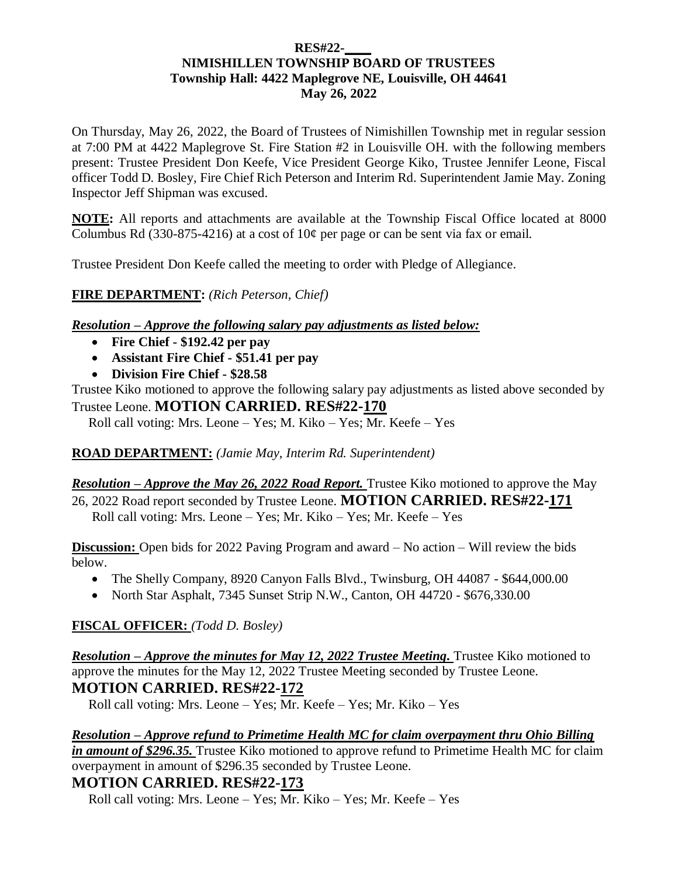### **RES#22-\_\_\_\_ NIMISHILLEN TOWNSHIP BOARD OF TRUSTEES Township Hall: 4422 Maplegrove NE, Louisville, OH 44641 May 26, 2022**

On Thursday, May 26, 2022, the Board of Trustees of Nimishillen Township met in regular session at 7:00 PM at 4422 Maplegrove St. Fire Station #2 in Louisville OH. with the following members present: Trustee President Don Keefe, Vice President George Kiko, Trustee Jennifer Leone, Fiscal officer Todd D. Bosley, Fire Chief Rich Peterson and Interim Rd. Superintendent Jamie May. Zoning Inspector Jeff Shipman was excused.

**NOTE:** All reports and attachments are available at the Township Fiscal Office located at 8000 Columbus Rd (330-875-4216) at a cost of  $10¢$  per page or can be sent via fax or email.

Trustee President Don Keefe called the meeting to order with Pledge of Allegiance.

## **FIRE DEPARTMENT:** *(Rich Peterson, Chief)*

#### *Resolution – Approve the following salary pay adjustments as listed below:*

- **Fire Chief - \$192.42 per pay**
- **Assistant Fire Chief - \$51.41 per pay**
- **Division Fire Chief - \$28.58**

Trustee Kiko motioned to approve the following salary pay adjustments as listed above seconded by Trustee Leone. **MOTION CARRIED. RES#22-170**

Roll call voting: Mrs. Leone – Yes; M. Kiko – Yes; Mr. Keefe – Yes

### **ROAD DEPARTMENT:** *(Jamie May, Interim Rd. Superintendent)*

*Resolution – Approve the May 26, 2022 Road Report.* Trustee Kiko motioned to approve the May 26, 2022 Road report seconded by Trustee Leone. **MOTION CARRIED. RES#22-171** Roll call voting: Mrs. Leone – Yes; Mr. Kiko – Yes; Mr. Keefe – Yes

**Discussion:** Open bids for 2022 Paving Program and award – No action – Will review the bids below.

- The Shelly Company, 8920 Canyon Falls Blvd., Twinsburg, OH 44087 \$644,000.00
- North Star Asphalt, 7345 Sunset Strip N.W., Canton, OH 44720 \$676,330.00

## **FISCAL OFFICER:** *(Todd D. Bosley)*

*Resolution – Approve the minutes for May 12, 2022 Trustee Meeting.* Trustee Kiko motioned to approve the minutes for the May 12, 2022 Trustee Meeting seconded by Trustee Leone. **MOTION CARRIED. RES#22-172**

Roll call voting: Mrs. Leone – Yes; Mr. Keefe – Yes; Mr. Kiko – Yes

### *Resolution – Approve refund to Primetime Health MC for claim overpayment thru Ohio Billing*

*in amount of \$296.35.* Trustee Kiko motioned to approve refund to Primetime Health MC for claim overpayment in amount of \$296.35 seconded by Trustee Leone.

### **MOTION CARRIED. RES#22-173**

Roll call voting: Mrs. Leone – Yes; Mr. Kiko – Yes; Mr. Keefe – Yes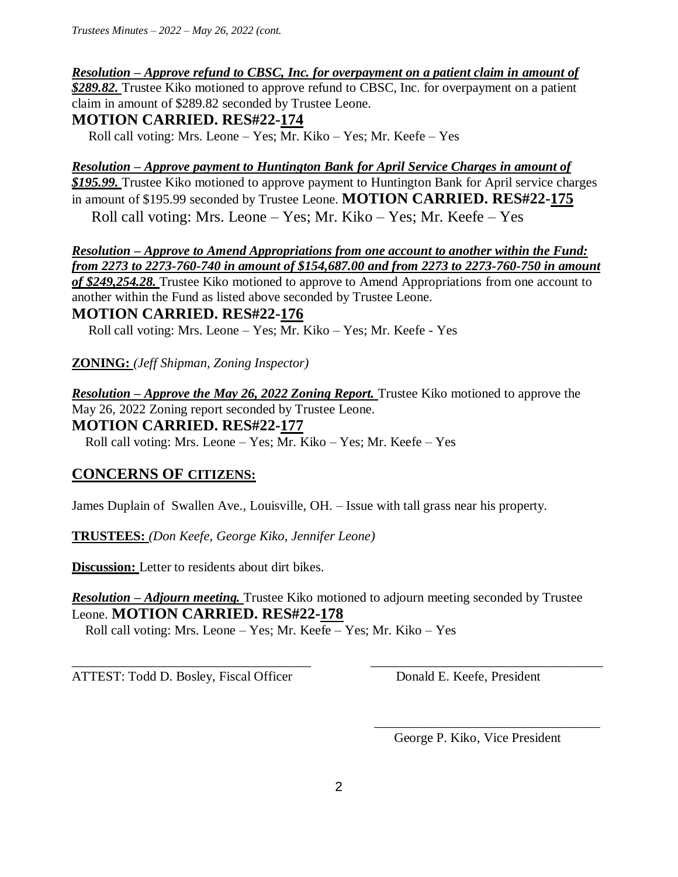#### *Resolution – Approve refund to CBSC, Inc. for overpayment on a patient claim in amount of*

*\$289.82.* Trustee Kiko motioned to approve refund to CBSC, Inc. for overpayment on a patient claim in amount of \$289.82 seconded by Trustee Leone.

### **MOTION CARRIED. RES#22-174**

Roll call voting: Mrs. Leone – Yes; Mr. Kiko – Yes; Mr. Keefe – Yes

*Resolution – Approve payment to Huntington Bank for April Service Charges in amount of \$195.99.* Trustee Kiko motioned to approve payment to Huntington Bank for April service charges in amount of \$195.99 seconded by Trustee Leone. **MOTION CARRIED. RES#22-175** Roll call voting: Mrs. Leone – Yes; Mr. Kiko – Yes; Mr. Keefe – Yes

*Resolution – Approve to Amend Appropriations from one account to another within the Fund: from 2273 to 2273-760-740 in amount of \$154,687.00 and from 2273 to 2273-760-750 in amount of \$249,254.28.* Trustee Kiko motioned to approve to Amend Appropriations from one account to another within the Fund as listed above seconded by Trustee Leone.

## **MOTION CARRIED. RES#22-176**

Roll call voting: Mrs. Leone – Yes; Mr. Kiko – Yes; Mr. Keefe - Yes

**ZONING:** *(Jeff Shipman, Zoning Inspector)* 

*Resolution – Approve the May 26, 2022 Zoning Report.* Trustee Kiko motioned to approve the May 26, 2022 Zoning report seconded by Trustee Leone.

# **MOTION CARRIED. RES#22-177**

Roll call voting: Mrs. Leone – Yes; Mr. Kiko – Yes; Mr. Keefe – Yes

## **CONCERNS OF CITIZENS:**

James Duplain of Swallen Ave., Louisville, OH. – Issue with tall grass near his property.

**TRUSTEES:** *(Don Keefe, George Kiko, Jennifer Leone)*

**Discussion:** Letter to residents about dirt bikes.

*Resolution – Adjourn meeting.* Trustee Kiko motioned to adjourn meeting seconded by Trustee Leone. **MOTION CARRIED. RES#22-178**

\_\_\_\_\_\_\_\_\_\_\_\_\_\_\_\_\_\_\_\_\_\_\_\_\_\_\_\_\_\_\_\_\_\_\_\_ \_\_\_\_\_\_\_\_\_\_\_\_\_\_\_\_\_\_\_\_\_\_\_\_\_\_\_\_\_\_\_\_\_\_\_

 $\overline{\phantom{a}}$  , and the contract of the contract of the contract of the contract of the contract of the contract of the contract of the contract of the contract of the contract of the contract of the contract of the contrac

Roll call voting: Mrs. Leone – Yes; Mr. Keefe – Yes; Mr. Kiko – Yes

ATTEST: Todd D. Bosley, Fiscal Officer Donald E. Keefe, President

George P. Kiko, Vice President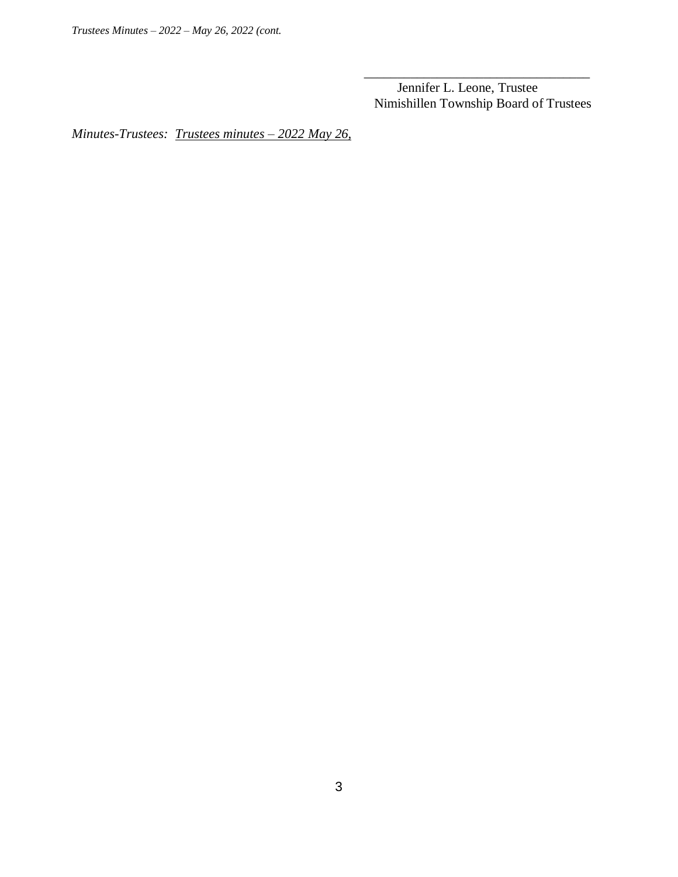*Trustees Minutes – 2022 – May 26, 2022 (cont.*

 Jennifer L. Leone, Trustee Nimishillen Township Board of Trustees

*Minutes-Trustees: Trustees minutes – 2022 May 26,*

 $\overline{\phantom{a}}$  , which is a set of the set of the set of the set of the set of the set of the set of the set of the set of the set of the set of the set of the set of the set of the set of the set of the set of the set of th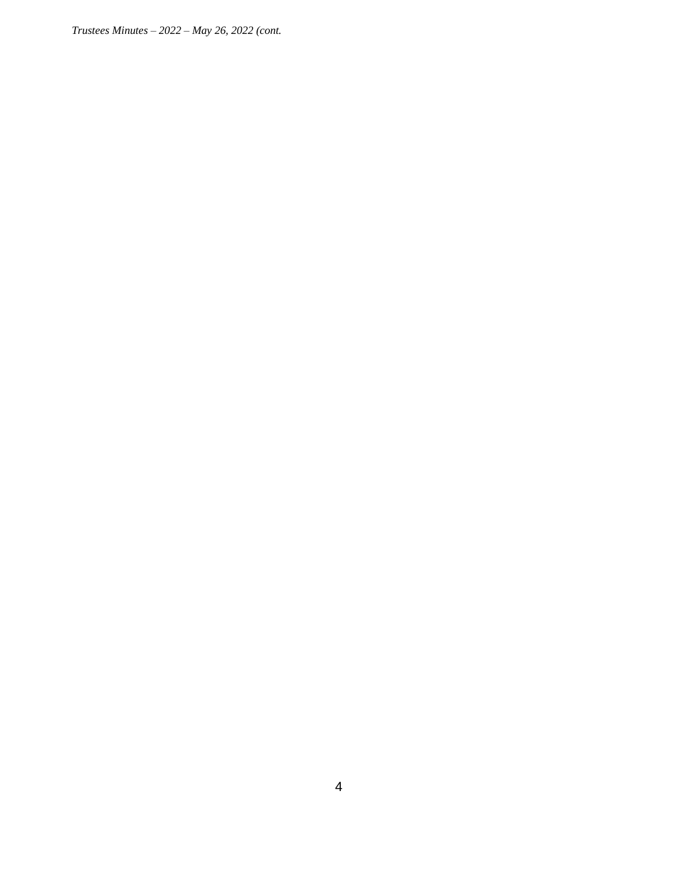*Trustees Minutes – 2022 – May 26, 2022 (cont.*